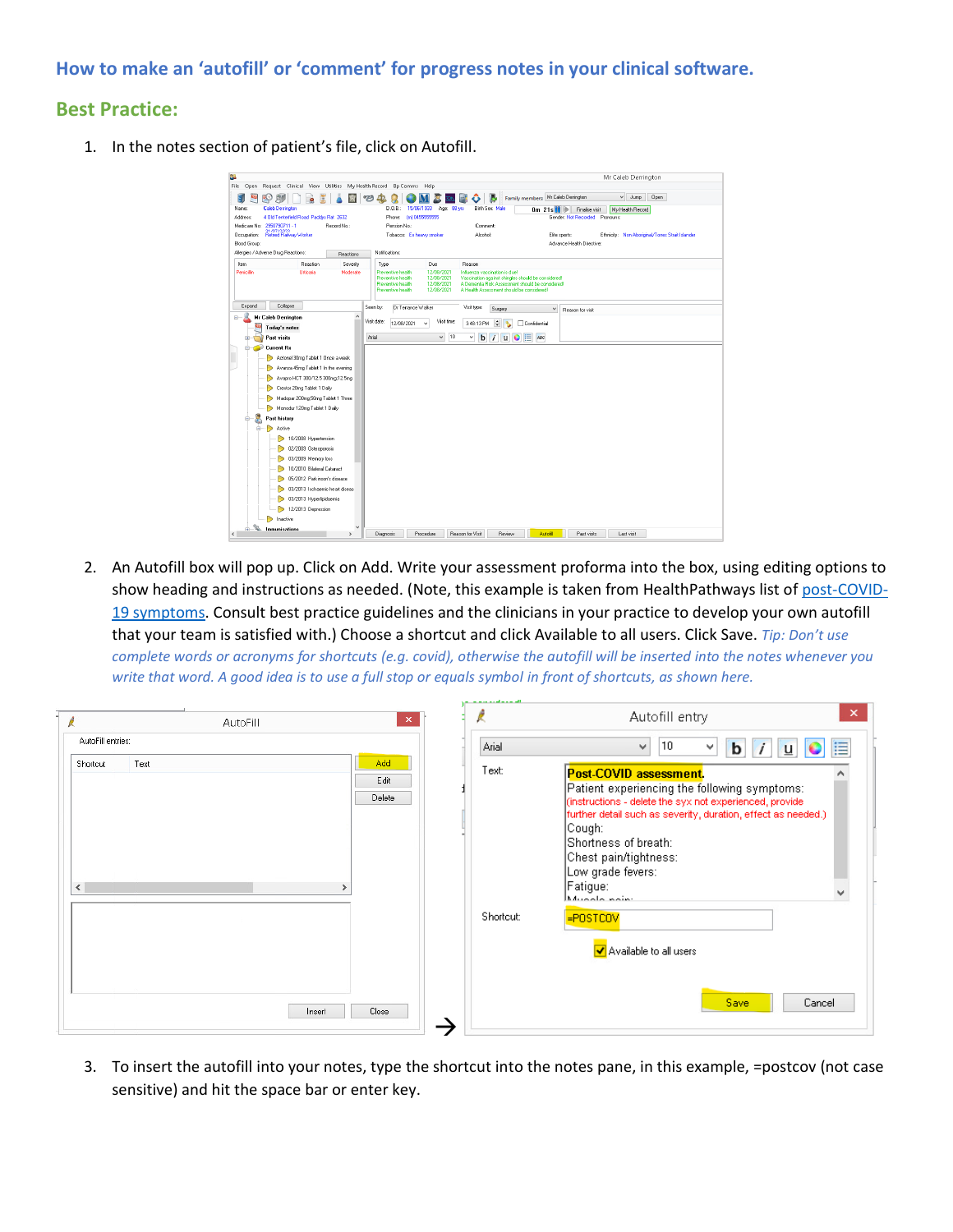## **How to make an 'autofill' or 'comment' for progress notes in your clinical software.**

## **Best Practice:**

1. In the notes section of patient's file, click on Autofill.



2. An Autofill box will pop up. Click on Add. Write your assessment proforma into the box, using editing options to show heading and instructions as needed. (Note, this example is taken from HealthPathways list of [post-COVID-](https://melbourne.healthpathways.org.au/index.htm?783098.htm)19 [symptoms.](https://melbourne.healthpathways.org.au/index.htm?783098.htm) Consult best practice guidelines and the clinicians in your practice to develop your own autofill that your team is satisfied with.) Choose a shortcut and click Available to all users. Click Save. *Tip: Don't use complete words or acronyms for shortcuts (e.g. covid), otherwise the autofill will be inserted into the notes whenever you write that word. A good idea is to use a full stop or equals symbol in front of shortcuts, as shown here.*

| AutoFill                              | $\boldsymbol{\times}$                   | ×<br>Autofill entry                                                                                                                                                                                                                |
|---------------------------------------|-----------------------------------------|------------------------------------------------------------------------------------------------------------------------------------------------------------------------------------------------------------------------------------|
| AutoFill entries:<br>Text<br>Shortcut | Arial<br>Add<br>Text:<br>Edit<br>Delete | 10<br>v<br>⊟<br>v<br>b<br>u<br>Post-COVID assessment.<br>Patient experiencing the following symptoms:<br>(instructions - delete the syx not experienced, provide-<br>further detail such as severity, duration, effect as needed.) |
| $\langle$<br>$\rightarrow$            | Shortcut:                               | Cough:-<br>Shortness of breath:<br>Chest pain/tightness:<br>Low grade fevers:<br>Fatigue:<br>v<br>بمنمم ملممسها<br>-POSTCOV                                                                                                        |
|                                       |                                         | V Available to all users                                                                                                                                                                                                           |
| Insert                                | Close                                   | Save<br>Cancel                                                                                                                                                                                                                     |

3. To insert the autofill into your notes, type the shortcut into the notes pane, in this example, =postcov (not case sensitive) and hit the space bar or enter key.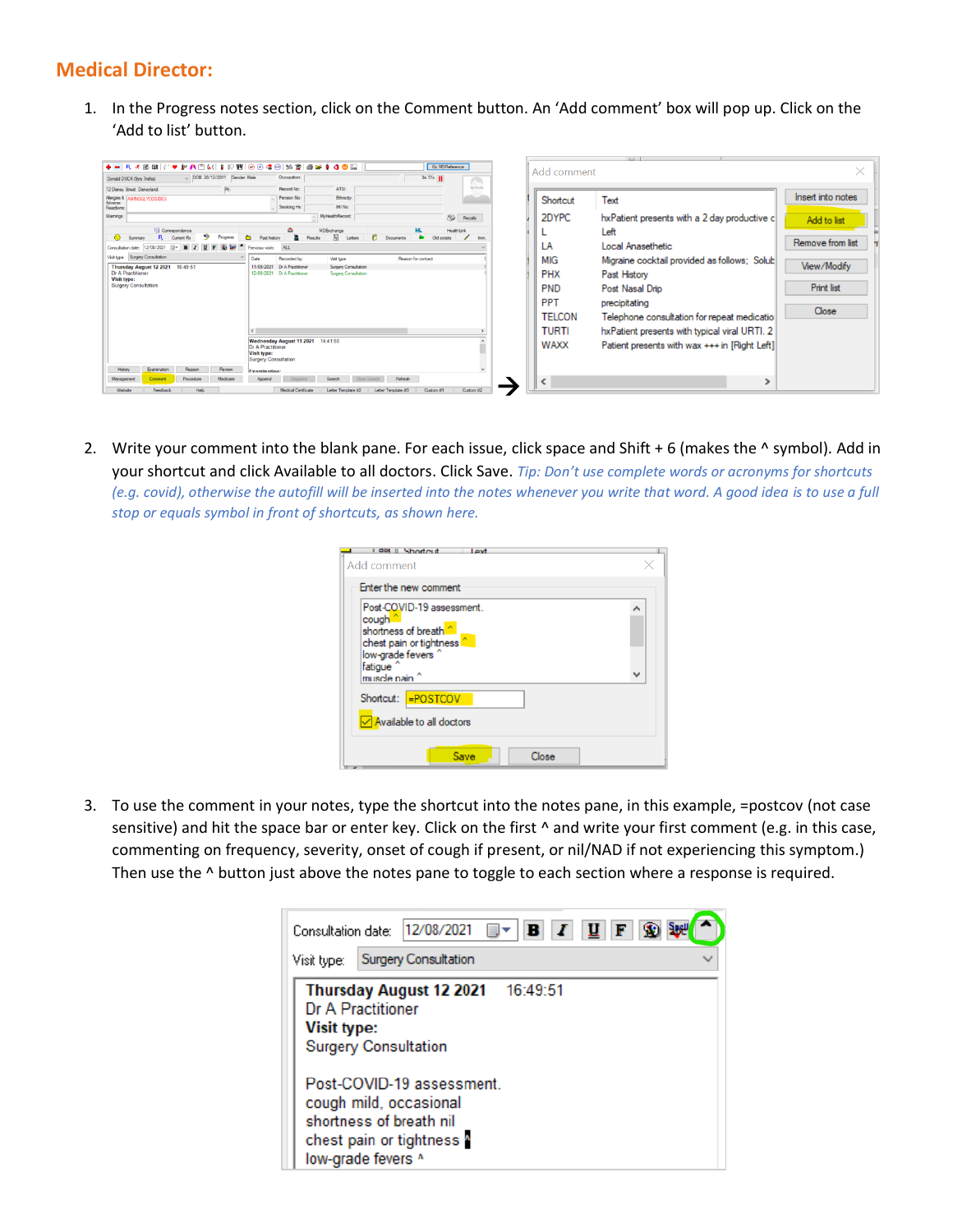## **Medical Director:**

1. In the Progress notes section, click on the Comment button. An 'Add comment' box will pop up. Click on the 'Add to list' button.



2. Write your comment into the blank pane. For each issue, click space and Shift + 6 (makes the ^ symbol). Add in your shortcut and click Available to all doctors. Click Save. *Tip: Don't use complete words or acronyms for shortcuts (e.g. covid), otherwise the autofill will be inserted into the notes whenever you write that word. A good idea is to use a full stop or equals symbol in front of shortcuts, as shown here.*

| Shortout<br><b>F</b> dSI<br>Add comment                                                                                                                                       |   |
|-------------------------------------------------------------------------------------------------------------------------------------------------------------------------------|---|
| Enter the new comment                                                                                                                                                         |   |
| Post-COVID-19 assessment.<br>cough <sup>^</sup><br>shortness of breath <sup>"</sup><br>chest pain or tightness<br>low-grade fevers ^<br>fatique <sup>^</sup><br>muscle nain ^ | ۸ |
| <b>=POSTCOV</b><br>Shortcut:<br>Available to all doctors                                                                                                                      |   |
| Save<br>Close                                                                                                                                                                 |   |

3. To use the comment in your notes, type the shortcut into the notes pane, in this example, =postcov (not case sensitive) and hit the space bar or enter key. Click on the first  $\wedge$  and write your first comment (e.g. in this case, commenting on frequency, severity, onset of cough if present, or nil/NAD if not experiencing this symptom.) Then use the  $\wedge$  button just above the notes pane to toggle to each section where a response is required.